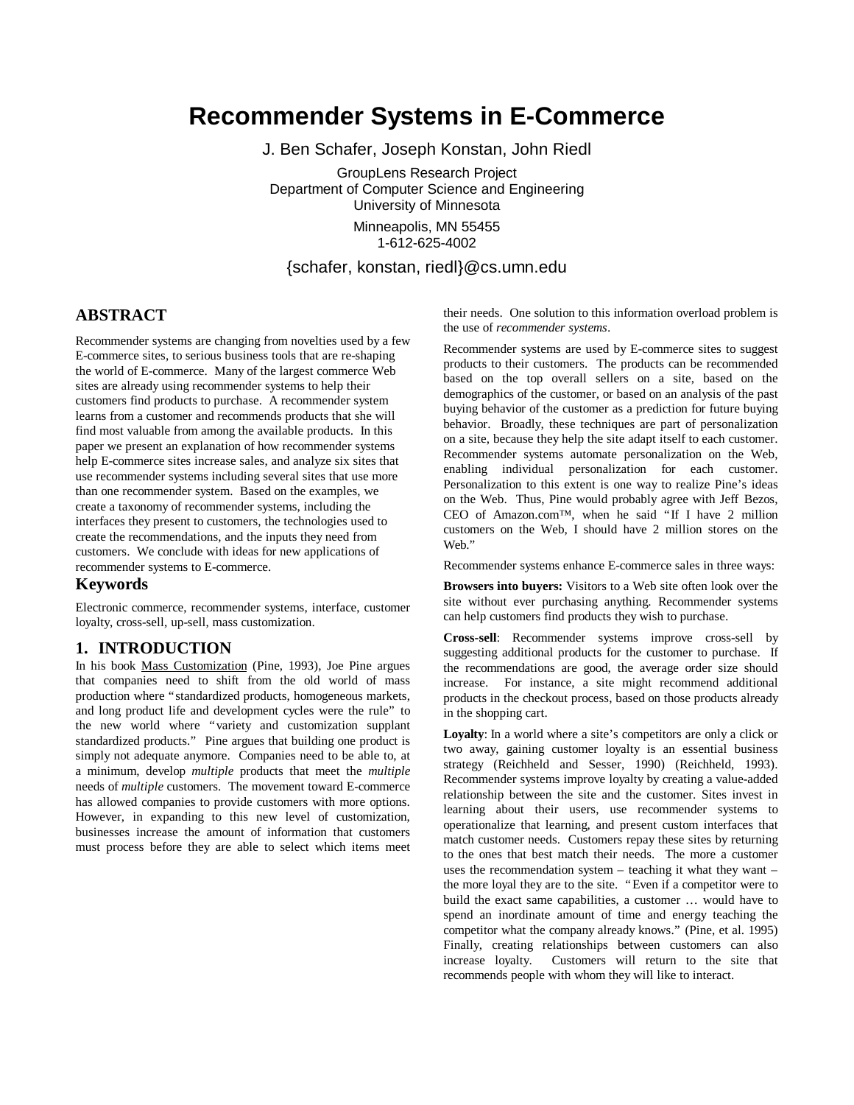# **Recommender Systems in E-Commerce**

J. Ben Schafer, Joseph Konstan, John Riedl

GroupLens Research Project Department of Computer Science and Engineering University of Minnesota Minneapolis, MN 55455 1-612-625-4002

{schafer, konstan, riedl}@cs.umn.edu

# **ABSTRACT**

Recommender systems are changing from novelties used by a few E-commerce sites, to serious business tools that are re-shaping the world of E-commerce. Many of the largest commerce Web sites are already using recommender systems to help their customers find products to purchase. A recommender system learns from a customer and recommends products that she will find most valuable from among the available products. In this paper we present an explanation of how recommender systems help E-commerce sites increase sales, and analyze six sites that use recommender systems including several sites that use more than one recommender system. Based on the examples, we create a taxonomy of recommender systems, including the interfaces they present to customers, the technologies used to create the recommendations, and the inputs they need from customers. We conclude with ideas for new applications of recommender systems to E-commerce.

### **Keywords**

Electronic commerce, recommender systems, interface, customer loyalty, cross-sell, up-sell, mass customization.

#### **1. INTRODUCTION**

In his book Mass Customization (Pine, 1993), Joe Pine argues that companies need to shift from the old world of mass production where "standardized products, homogeneous markets, and long product life and development cycles were the rule" to the new world where "variety and customization supplant standardized products." Pine argues that building one product is simply not adequate anymore. Companies need to be able to, at a minimum, develop *multiple* products that meet the *multiple* needs of *multiple* customers. The movement toward E-commerce has allowed companies to provide customers with more options. However, in expanding to this new level of customization, businesses increase the amount of information that customers must process before they are able to select which items meet

their needs. One solution to this information overload problem is the use of *recommender systems*.

Recommender systems are used by E-commerce sites to suggest products to their customers. The products can be recommended based on the top overall sellers on a site, based on the demographics of the customer, or based on an analysis of the past buying behavior of the customer as a prediction for future buying behavior. Broadly, these techniques are part of personalization on a site, because they help the site adapt itself to each customer. Recommender systems automate personalization on the Web, enabling individual personalization for each customer. Personalization to this extent is one way to realize Pine's ideas on the Web. Thus, Pine would probably agree with Jeff Bezos, CEO of Amazon.com™, when he said "If I have 2 million customers on the Web, I should have 2 million stores on the Web."

Recommender systems enhance E-commerce sales in three ways:

**Browsers into buyers:** Visitors to a Web site often look over the site without ever purchasing anything. Recommender systems can help customers find products they wish to purchase.

**Cross-sell**: Recommender systems improve cross-sell by suggesting additional products for the customer to purchase. If the recommendations are good, the average order size should increase. For instance, a site might recommend additional products in the checkout process, based on those products already in the shopping cart.

**Loyalty**: In a world where a site's competitors are only a click or two away, gaining customer loyalty is an essential business strategy (Reichheld and Sesser, 1990) (Reichheld, 1993). Recommender systems improve loyalty by creating a value-added relationship between the site and the customer. Sites invest in learning about their users, use recommender systems to operationalize that learning, and present custom interfaces that match customer needs. Customers repay these sites by returning to the ones that best match their needs. The more a customer uses the recommendation system – teaching it what they want – the more loyal they are to the site. "Even if a competitor were to build the exact same capabilities, a customer … would have to spend an inordinate amount of time and energy teaching the competitor what the company already knows." (Pine, et al. 1995) Finally, creating relationships between customers can also increase loyalty. Customers will return to the site that recommends people with whom they will like to interact.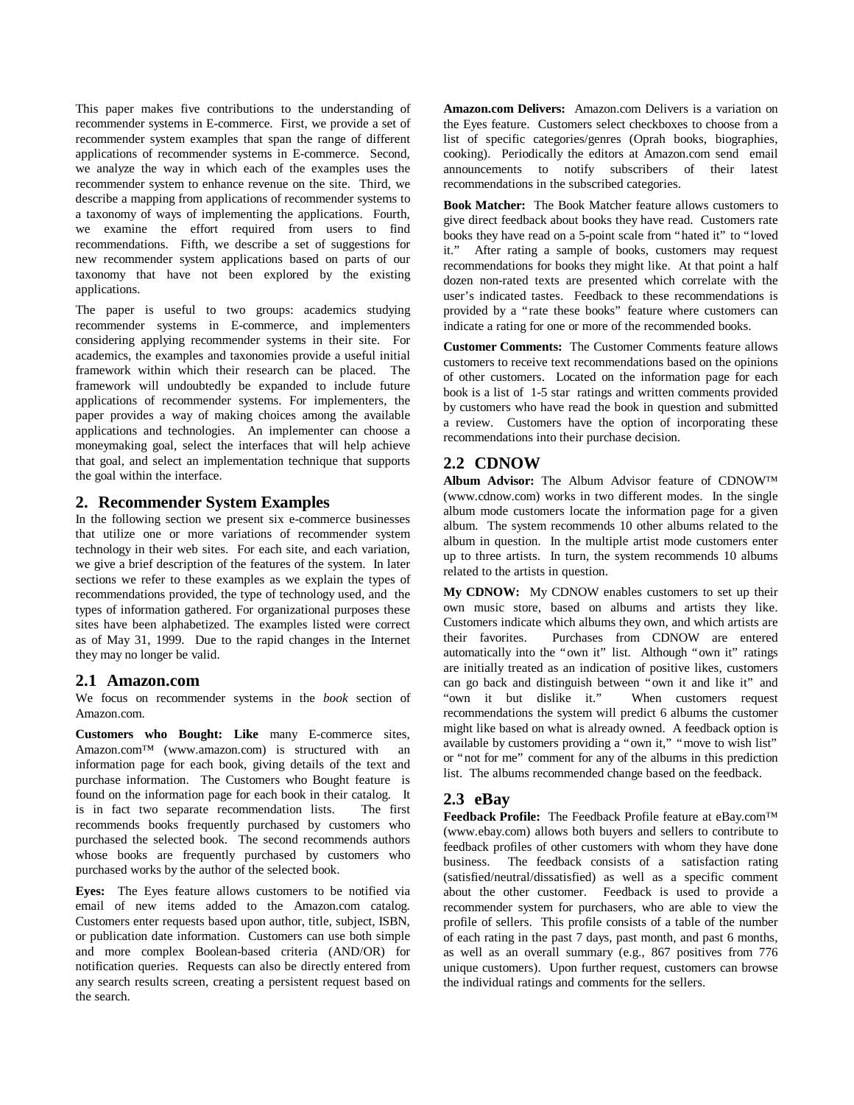This paper makes five contributions to the understanding of recommender systems in E-commerce. First, we provide a set of recommender system examples that span the range of different applications of recommender systems in E-commerce. Second, we analyze the way in which each of the examples uses the recommender system to enhance revenue on the site. Third, we describe a mapping from applications of recommender systems to a taxonomy of ways of implementing the applications. Fourth, we examine the effort required from users to find recommendations. Fifth, we describe a set of suggestions for new recommender system applications based on parts of our taxonomy that have not been explored by the existing applications.

The paper is useful to two groups: academics studying recommender systems in E-commerce, and implementers considering applying recommender systems in their site. For academics, the examples and taxonomies provide a useful initial framework within which their research can be placed. The framework will undoubtedly be expanded to include future applications of recommender systems. For implementers, the paper provides a way of making choices among the available applications and technologies. An implementer can choose a moneymaking goal, select the interfaces that will help achieve that goal, and select an implementation technique that supports the goal within the interface.

### **2. Recommender System Examples**

In the following section we present six e-commerce businesses that utilize one or more variations of recommender system technology in their web sites. For each site, and each variation, we give a brief description of the features of the system. In later sections we refer to these examples as we explain the types of recommendations provided, the type of technology used, and the types of information gathered. For organizational purposes these sites have been alphabetized. The examples listed were correct as of May 31, 1999. Due to the rapid changes in the Internet they may no longer be valid.

### **2.1 Amazon.com**

We focus on recommender systems in the *book* section of Amazon.com.

**Customers who Bought: Like** many E-commerce sites, Amazon.com™ (www.amazon.com) is structured with an information page for each book, giving details of the text and purchase information. The Customers who Bought feature is found on the information page for each book in their catalog. It is in fact two separate recommendation lists. The first recommends books frequently purchased by customers who purchased the selected book. The second recommends authors whose books are frequently purchased by customers who purchased works by the author of the selected book.

**Eyes:** The Eyes feature allows customers to be notified via email of new items added to the Amazon.com catalog. Customers enter requests based upon author, title, subject, ISBN, or publication date information. Customers can use both simple and more complex Boolean-based criteria (AND/OR) for notification queries. Requests can also be directly entered from any search results screen, creating a persistent request based on the search.

**Amazon.com Delivers:** Amazon.com Delivers is a variation on the Eyes feature. Customers select checkboxes to choose from a list of specific categories/genres (Oprah books, biographies, cooking). Periodically the editors at Amazon.com send email announcements to notify subscribers of their latest recommendations in the subscribed categories.

**Book Matcher:** The Book Matcher feature allows customers to give direct feedback about books they have read. Customers rate books they have read on a 5-point scale from "hated it" to "loved it." After rating a sample of books, customers may request recommendations for books they might like. At that point a half dozen non-rated texts are presented which correlate with the user's indicated tastes. Feedback to these recommendations is provided by a "rate these books" feature where customers can indicate a rating for one or more of the recommended books.

**Customer Comments:** The Customer Comments feature allows customers to receive text recommendations based on the opinions of other customers. Located on the information page for each book is a list of 1-5 star ratings and written comments provided by customers who have read the book in question and submitted a review. Customers have the option of incorporating these recommendations into their purchase decision.

# **2.2 CDNOW**

**Album Advisor:** The Album Advisor feature of CDNOW™ (www.cdnow.com) works in two different modes. In the single album mode customers locate the information page for a given album. The system recommends 10 other albums related to the album in question. In the multiple artist mode customers enter up to three artists. In turn, the system recommends 10 albums related to the artists in question.

**My CDNOW:** My CDNOW enables customers to set up their own music store, based on albums and artists they like. Customers indicate which albums they own, and which artists are their favorites. Purchases from CDNOW are entered automatically into the "own it" list. Although "own it" ratings are initially treated as an indication of positive likes, customers can go back and distinguish between "own it and like it" and "own it but dislike it." When customers request "own it but dislike it." recommendations the system will predict 6 albums the customer might like based on what is already owned. A feedback option is available by customers providing a "own it," "move to wish list" or "not for me" comment for any of the albums in this prediction list. The albums recommended change based on the feedback.

# **2.3 eBay**

**Feedback Profile:** The Feedback Profile feature at eBay.com™ (www.ebay.com) allows both buyers and sellers to contribute to feedback profiles of other customers with whom they have done business. The feedback consists of a satisfaction rating (satisfied/neutral/dissatisfied) as well as a specific comment about the other customer. Feedback is used to provide a recommender system for purchasers, who are able to view the profile of sellers. This profile consists of a table of the number of each rating in the past 7 days, past month, and past 6 months, as well as an overall summary (e.g., 867 positives from 776 unique customers). Upon further request, customers can browse the individual ratings and comments for the sellers.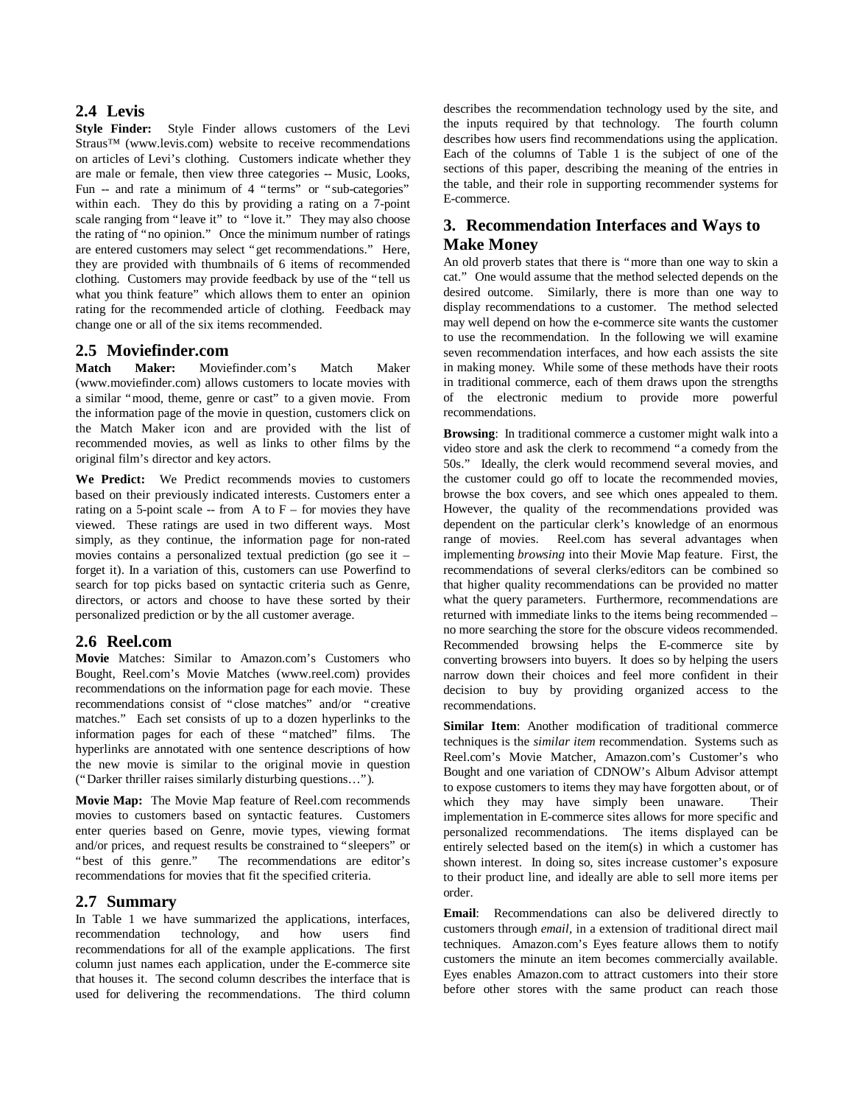# **2.4 Levis**

**Style Finder:** Style Finder allows customers of the Levi Straus™ (www.levis.com) website to receive recommendations on articles of Levi's clothing. Customers indicate whether they are male or female, then view three categories -- Music, Looks, Fun -- and rate a minimum of 4 "terms" or "sub-categories" within each. They do this by providing a rating on a 7-point scale ranging from "leave it" to "love it." They may also choose the rating of "no opinion." Once the minimum number of ratings are entered customers may select "get recommendations." Here, they are provided with thumbnails of 6 items of recommended clothing. Customers may provide feedback by use of the "tell us what you think feature" which allows them to enter an opinion rating for the recommended article of clothing. Feedback may change one or all of the six items recommended.

# **2.5 Moviefinder.com**

**Match Maker:** Moviefinder.com's Match Maker (www.moviefinder.com) allows customers to locate movies with a similar "mood, theme, genre or cast" to a given movie. From the information page of the movie in question, customers click on the Match Maker icon and are provided with the list of recommended movies, as well as links to other films by the original film's director and key actors.

**We Predict:** We Predict recommends movies to customers based on their previously indicated interests. Customers enter a rating on a 5-point scale  $-$  from A to  $F -$  for movies they have viewed. These ratings are used in two different ways. Most simply, as they continue, the information page for non-rated movies contains a personalized textual prediction (go see it – forget it). In a variation of this, customers can use Powerfind to search for top picks based on syntactic criteria such as Genre, directors, or actors and choose to have these sorted by their personalized prediction or by the all customer average.

### **2.6 Reel.com**

**Movie** Matches: Similar to Amazon.com's Customers who Bought, Reel.com's Movie Matches (www.reel.com) provides recommendations on the information page for each movie. These recommendations consist of "close matches" and/or "creative matches." Each set consists of up to a dozen hyperlinks to the information pages for each of these "matched" films. The hyperlinks are annotated with one sentence descriptions of how the new movie is similar to the original movie in question ("Darker thriller raises similarly disturbing questions… ").

**Movie Map:** The Movie Map feature of Reel.com recommends movies to customers based on syntactic features. Customers enter queries based on Genre, movie types, viewing format and/or prices, and request results be constrained to "sleepers" or "best of this genre." The recommendations are editor's recommendations for movies that fit the specified criteria.

### **2.7 Summary**

In Table 1 we have summarized the applications, interfaces, recommendation technology, and how users find recommendations for all of the example applications. The first column just names each application, under the E-commerce site that houses it. The second column describes the interface that is used for delivering the recommendations. The third column

describes the recommendation technology used by the site, and the inputs required by that technology. The fourth column describes how users find recommendations using the application. Each of the columns of Table 1 is the subject of one of the sections of this paper, describing the meaning of the entries in the table, and their role in supporting recommender systems for E-commerce.

# **3. Recommendation Interfaces and Ways to Make Money**

An old proverb states that there is "more than one way to skin a cat." One would assume that the method selected depends on the desired outcome. Similarly, there is more than one way to display recommendations to a customer. The method selected may well depend on how the e-commerce site wants the customer to use the recommendation. In the following we will examine seven recommendation interfaces, and how each assists the site in making money. While some of these methods have their roots in traditional commerce, each of them draws upon the strengths of the electronic medium to provide more powerful recommendations.

**Browsing**: In traditional commerce a customer might walk into a video store and ask the clerk to recommend "a comedy from the 50s." Ideally, the clerk would recommend several movies, and the customer could go off to locate the recommended movies, browse the box covers, and see which ones appealed to them. However, the quality of the recommendations provided was dependent on the particular clerk's knowledge of an enormous range of movies. Reel.com has several advantages when implementing *browsing* into their Movie Map feature. First, the recommendations of several clerks/editors can be combined so that higher quality recommendations can be provided no matter what the query parameters. Furthermore, recommendations are returned with immediate links to the items being recommended – no more searching the store for the obscure videos recommended. Recommended browsing helps the E-commerce site by converting browsers into buyers. It does so by helping the users narrow down their choices and feel more confident in their decision to buy by providing organized access to the recommendations.

**Similar Item:** Another modification of traditional commerce techniques is the *similar item* recommendation. Systems such as Reel.com's Movie Matcher, Amazon.com's Customer's who Bought and one variation of CDNOW's Album Advisor attempt to expose customers to items they may have forgotten about, or of which they may have simply been unaware. Their implementation in E-commerce sites allows for more specific and personalized recommendations. The items displayed can be entirely selected based on the item(s) in which a customer has shown interest. In doing so, sites increase customer's exposure to their product line, and ideally are able to sell more items per order.

**Email**: Recommendations can also be delivered directly to customers through *email,* in a extension of traditional direct mail techniques. Amazon.com's Eyes feature allows them to notify customers the minute an item becomes commercially available. Eyes enables Amazon.com to attract customers into their store before other stores with the same product can reach those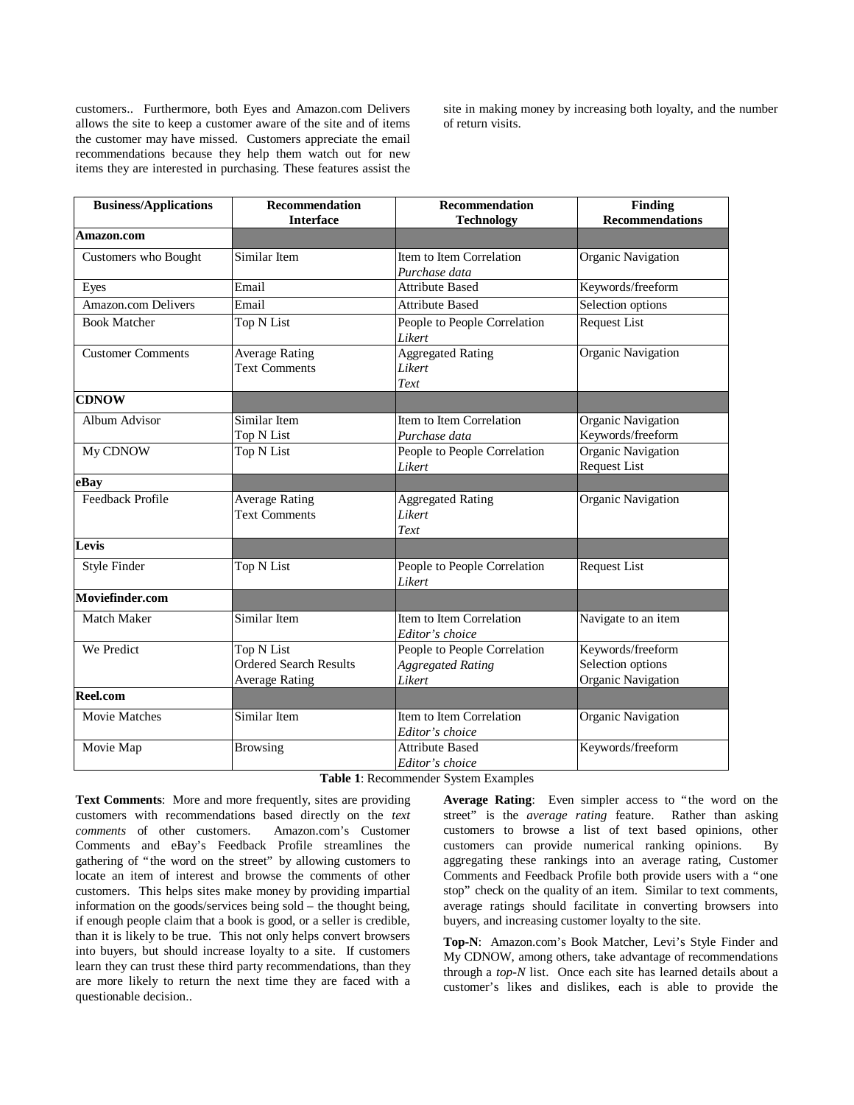customers.. Furthermore, both Eyes and Amazon.com Delivers allows the site to keep a customer aware of the site and of items the customer may have missed. Customers appreciate the email recommendations because they help them watch out for new items they are interested in purchasing. These features assist the site in making money by increasing both loyalty, and the number of return visits.

| <b>Business/Applications</b> | Recommendation<br><b>Interface</b>                                   | Recommendation<br><b>Technology</b>                                | Finding<br><b>Recommendations</b>                            |
|------------------------------|----------------------------------------------------------------------|--------------------------------------------------------------------|--------------------------------------------------------------|
| Amazon.com                   |                                                                      |                                                                    |                                                              |
| Customers who Bought         | Similar Item                                                         | Item to Item Correlation<br>Purchase data                          | Organic Navigation                                           |
| Eyes                         | Email                                                                | <b>Attribute Based</b>                                             | Keywords/freeform                                            |
| Amazon.com Delivers          | Email                                                                | <b>Attribute Based</b>                                             | Selection options                                            |
| <b>Book Matcher</b>          | Top N List                                                           | People to People Correlation<br>Likert                             | <b>Request List</b>                                          |
| <b>Customer Comments</b>     | <b>Average Rating</b><br><b>Text Comments</b>                        | <b>Aggregated Rating</b><br>Likert<br>Text                         | Organic Navigation                                           |
| <b>CDNOW</b>                 |                                                                      |                                                                    |                                                              |
| <b>Album Advisor</b>         | Similar Item<br>Top N List                                           | Item to Item Correlation<br>Purchase data                          | Organic Navigation<br>Keywords/freeform                      |
| My CDNOW                     | Top N List                                                           | People to People Correlation<br>Likert                             | <b>Organic Navigation</b><br>Request List                    |
| eBay                         |                                                                      |                                                                    |                                                              |
| Feedback Profile             | <b>Average Rating</b><br><b>Text Comments</b>                        | <b>Aggregated Rating</b><br>Likert<br>Text                         | Organic Navigation                                           |
| Levis                        |                                                                      |                                                                    |                                                              |
| Style Finder                 | Top N List                                                           | People to People Correlation<br>Likert                             | <b>Request List</b>                                          |
| Moviefinder.com              |                                                                      |                                                                    |                                                              |
| <b>Match Maker</b>           | Similar Item                                                         | Item to Item Correlation<br>Editor's choice                        | Navigate to an item                                          |
| We Predict                   | Top N List<br><b>Ordered Search Results</b><br><b>Average Rating</b> | People to People Correlation<br><b>Aggregated Rating</b><br>Likert | Keywords/freeform<br>Selection options<br>Organic Navigation |
| Reel.com                     |                                                                      |                                                                    |                                                              |
| <b>Movie Matches</b>         | Similar Item                                                         | Item to Item Correlation<br>Editor's choice                        | Organic Navigation                                           |
| Movie Map                    | <b>Browsing</b>                                                      | <b>Attribute Based</b><br>Editor's choice                          | Keywords/freeform                                            |

**Table 1**: Recommender System Examples

**Text Comments**: More and more frequently, sites are providing customers with recommendations based directly on the *text comments* of other customers. Amazon.com's Customer Comments and eBay's Feedback Profile streamlines the gathering of "the word on the street" by allowing customers to locate an item of interest and browse the comments of other customers. This helps sites make money by providing impartial information on the goods/services being sold – the thought being, if enough people claim that a book is good, or a seller is credible, than it is likely to be true. This not only helps convert browsers into buyers, but should increase loyalty to a site. If customers learn they can trust these third party recommendations, than they are more likely to return the next time they are faced with a questionable decision..

**Average Rating**: Even simpler access to "the word on the street" is the *average rating* feature. Rather than asking customers to browse a list of text based opinions, other customers can provide numerical ranking opinions. By aggregating these rankings into an average rating, Customer Comments and Feedback Profile both provide users with a "one stop" check on the quality of an item. Similar to text comments, average ratings should facilitate in converting browsers into buyers, and increasing customer loyalty to the site.

**Top-N**: Amazon.com's Book Matcher, Levi's Style Finder and My CDNOW, among others, take advantage of recommendations through a *top-N* list. Once each site has learned details about a customer's likes and dislikes, each is able to provide the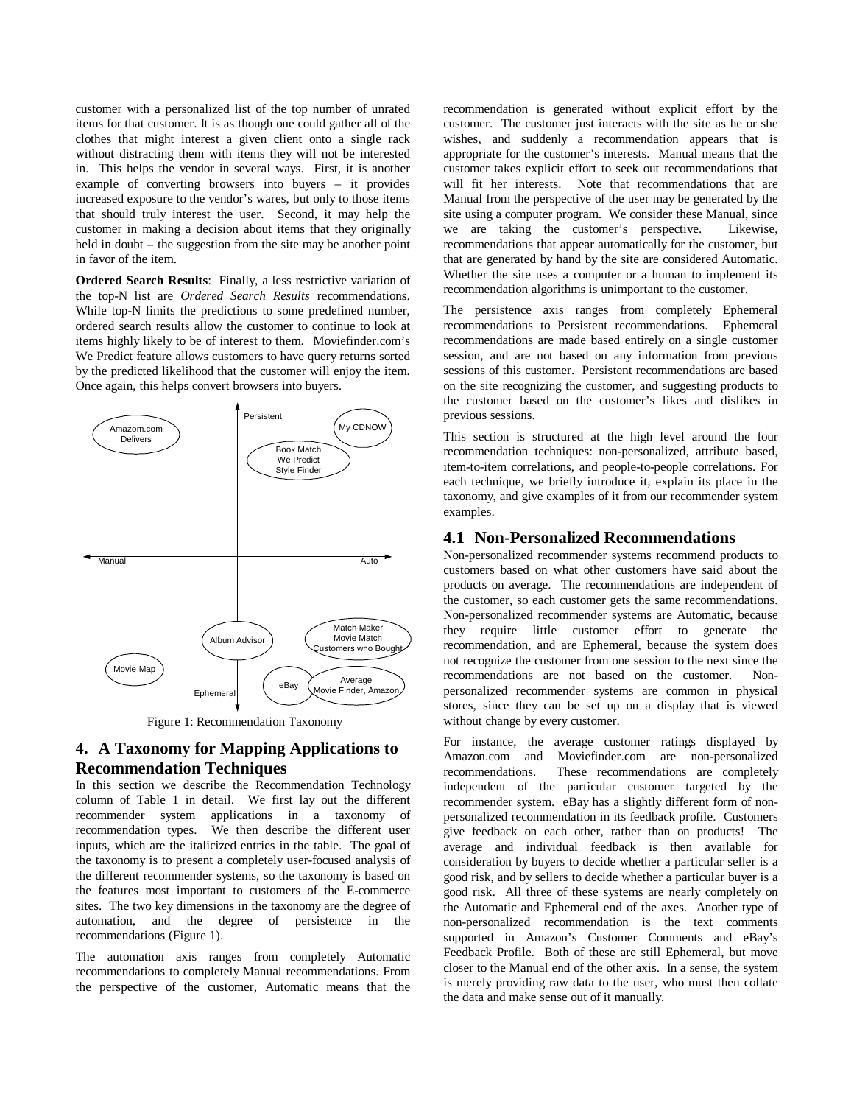customer with a personalized list of the top number of unrated items for that customer. It is as though one could gather all of the clothes that might interest a given client onto a single rack without distracting them with items they will not be interested in. This helps the vendor in several ways. First, it is another example of converting browsers into buyers – it provides increased exposure to the vendor's wares, but only to those items that should truly interest the user. Second, it may help the customer in making a decision about items that they originally held in doubt – the suggestion from the site may be another point in favor of the item.

**Ordered Search Results**: Finally, a less restrictive variation of the top-N list are *Ordered Search Results* recommendations. While top-N limits the predictions to some predefined number, ordered search results allow the customer to continue to look at items highly likely to be of interest to them. Moviefinder.com's We Predict feature allows customers to have query returns sorted by the predicted likelihood that the customer will enjoy the item. Once again, this helps convert browsers into buyers.



Figure 1: Recommendation Taxonomy

# **4. A Taxonomy for Mapping Applications to Recommendation Techniques**

In this section we describe the Recommendation Technology column of Table 1 in detail. We first lay out the different recommender system applications in a taxonomy of recommendation types. We then describe the different user inputs, which are the italicized entries in the table. The goal of the taxonomy is to present a completely user-focused analysis of the different recommender systems, so the taxonomy is based on the features most important to customers of the E-commerce sites. The two key dimensions in the taxonomy are the degree of automation, and the degree of persistence in the recommendations (Figure 1).

The automation axis ranges from completely Automatic recommendations to completely Manual recommendations. From the perspective of the customer, Automatic means that the

recommendation is generated without explicit effort by the customer. The customer just interacts with the site as he or she wishes, and suddenly a recommendation appears that is appropriate for the customer's interests. Manual means that the customer takes explicit effort to seek out recommendations that will fit her interests. Note that recommendations that are Manual from the perspective of the user may be generated by the site using a computer program. We consider these Manual, since we are taking the customer's perspective. Likewise, recommendations that appear automatically for the customer, but that are generated by hand by the site are considered Automatic. Whether the site uses a computer or a human to implement its recommendation algorithms is unimportant to the customer.

The persistence axis ranges from completely Ephemeral recommendations to Persistent recommendations. Ephemeral recommendations are made based entirely on a single customer session, and are not based on any information from previous sessions of this customer. Persistent recommendations are based on the site recognizing the customer, and suggesting products to the customer based on the customer's likes and dislikes in previous sessions.

This section is structured at the high level around the four recommendation techniques: non-personalized, attribute based, item-to-item correlations, and people-to-people correlations. For each technique, we briefly introduce it, explain its place in the taxonomy, and give examples of it from our recommender system examples.

### **4.1 Non-Personalized Recommendations**

Non-personalized recommender systems recommend products to customers based on what other customers have said about the products on average. The recommendations are independent of the customer, so each customer gets the same recommendations. Non-personalized recommender systems are Automatic, because they require little customer effort to generate the recommendation, and are Ephemeral, because the system does not recognize the customer from one session to the next since the recommendations are not based on the customer. Nonpersonalized recommender systems are common in physical stores, since they can be set up on a display that is viewed without change by every customer.

For instance, the average customer ratings displayed by Amazon.com and Moviefinder.com are non-personalized recommendations. These recommendations are completely independent of the particular customer targeted by the recommender system. eBay has a slightly different form of nonpersonalized recommendation in its feedback profile. Customers give feedback on each other, rather than on products! The average and individual feedback is then available for consideration by buyers to decide whether a particular seller is a good risk, and by sellers to decide whether a particular buyer is a good risk. All three of these systems are nearly completely on the Automatic and Ephemeral end of the axes. Another type of non-personalized recommendation is the text comments supported in Amazon's Customer Comments and eBay's Feedback Profile. Both of these are still Ephemeral, but move closer to the Manual end of the other axis. In a sense, the system is merely providing raw data to the user, who must then collate the data and make sense out of it manually.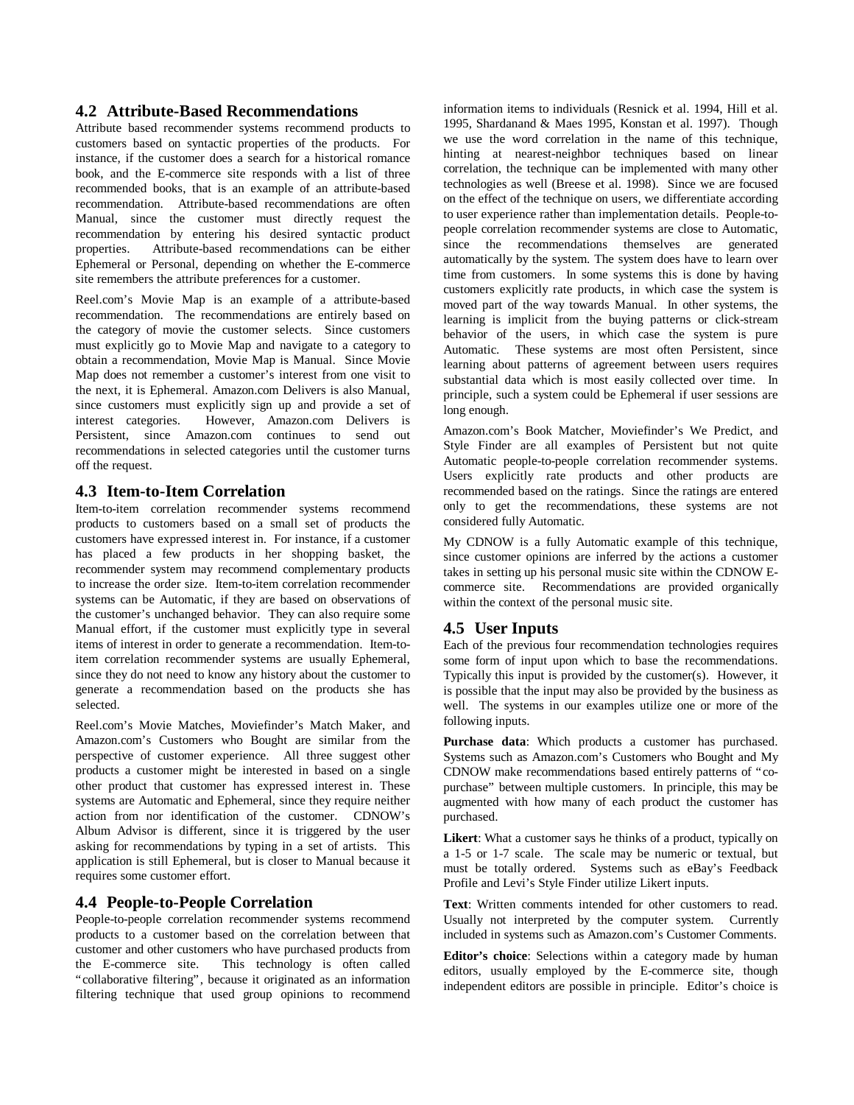### **4.2 Attribute-Based Recommendations**

Attribute based recommender systems recommend products to customers based on syntactic properties of the products. For instance, if the customer does a search for a historical romance book, and the E-commerce site responds with a list of three recommended books, that is an example of an attribute-based recommendation. Attribute-based recommendations are often Manual, since the customer must directly request the recommendation by entering his desired syntactic product properties. Attribute-based recommendations can be either Ephemeral or Personal, depending on whether the E-commerce site remembers the attribute preferences for a customer.

Reel.com's Movie Map is an example of a attribute-based recommendation. The recommendations are entirely based on the category of movie the customer selects. Since customers must explicitly go to Movie Map and navigate to a category to obtain a recommendation, Movie Map is Manual. Since Movie Map does not remember a customer's interest from one visit to the next, it is Ephemeral. Amazon.com Delivers is also Manual, since customers must explicitly sign up and provide a set of interest categories. However, Amazon.com Delivers is Persistent, since Amazon.com continues to send out recommendations in selected categories until the customer turns off the request.

# **4.3 Item-to-Item Correlation**

Item-to-item correlation recommender systems recommend products to customers based on a small set of products the customers have expressed interest in. For instance, if a customer has placed a few products in her shopping basket, the recommender system may recommend complementary products to increase the order size. Item-to-item correlation recommender systems can be Automatic, if they are based on observations of the customer's unchanged behavior. They can also require some Manual effort, if the customer must explicitly type in several items of interest in order to generate a recommendation. Item-toitem correlation recommender systems are usually Ephemeral, since they do not need to know any history about the customer to generate a recommendation based on the products she has selected.

Reel.com's Movie Matches, Moviefinder's Match Maker, and Amazon.com's Customers who Bought are similar from the perspective of customer experience. All three suggest other products a customer might be interested in based on a single other product that customer has expressed interest in. These systems are Automatic and Ephemeral, since they require neither action from nor identification of the customer. CDNOW's Album Advisor is different, since it is triggered by the user asking for recommendations by typing in a set of artists. This application is still Ephemeral, but is closer to Manual because it requires some customer effort.

### **4.4 People-to-People Correlation**

People-to-people correlation recommender systems recommend products to a customer based on the correlation between that customer and other customers who have purchased products from the E-commerce site. This technology is often called "collaborative filtering", because it originated as an information filtering technique that used group opinions to recommend

information items to individuals (Resnick et al. 1994, Hill et al. 1995, Shardanand & Maes 1995, Konstan et al. 1997). Though we use the word correlation in the name of this technique, hinting at nearest-neighbor techniques based on linear correlation, the technique can be implemented with many other technologies as well (Breese et al. 1998). Since we are focused on the effect of the technique on users, we differentiate according to user experience rather than implementation details. People-topeople correlation recommender systems are close to Automatic, since the recommendations themselves are generated automatically by the system. The system does have to learn over time from customers. In some systems this is done by having customers explicitly rate products, in which case the system is moved part of the way towards Manual. In other systems, the learning is implicit from the buying patterns or click-stream behavior of the users, in which case the system is pure Automatic. These systems are most often Persistent, since learning about patterns of agreement between users requires substantial data which is most easily collected over time. In principle, such a system could be Ephemeral if user sessions are long enough.

Amazon.com's Book Matcher, Moviefinder's We Predict, and Style Finder are all examples of Persistent but not quite Automatic people-to-people correlation recommender systems. Users explicitly rate products and other products are recommended based on the ratings. Since the ratings are entered only to get the recommendations, these systems are not considered fully Automatic.

My CDNOW is a fully Automatic example of this technique, since customer opinions are inferred by the actions a customer takes in setting up his personal music site within the CDNOW Ecommerce site. Recommendations are provided organically within the context of the personal music site.

# **4.5 User Inputs**

Each of the previous four recommendation technologies requires some form of input upon which to base the recommendations. Typically this input is provided by the customer(s). However, it is possible that the input may also be provided by the business as well. The systems in our examples utilize one or more of the following inputs.

**Purchase data**: Which products a customer has purchased. Systems such as Amazon.com's Customers who Bought and My CDNOW make recommendations based entirely patterns of "copurchase" between multiple customers. In principle, this may be augmented with how many of each product the customer has purchased.

**Likert**: What a customer says he thinks of a product, typically on a 1-5 or 1-7 scale. The scale may be numeric or textual, but must be totally ordered. Systems such as eBay's Feedback Profile and Levi's Style Finder utilize Likert inputs.

**Text**: Written comments intended for other customers to read. Usually not interpreted by the computer system. Currently included in systems such as Amazon.com's Customer Comments.

**Editor's choice**: Selections within a category made by human editors, usually employed by the E-commerce site, though independent editors are possible in principle. Editor's choice is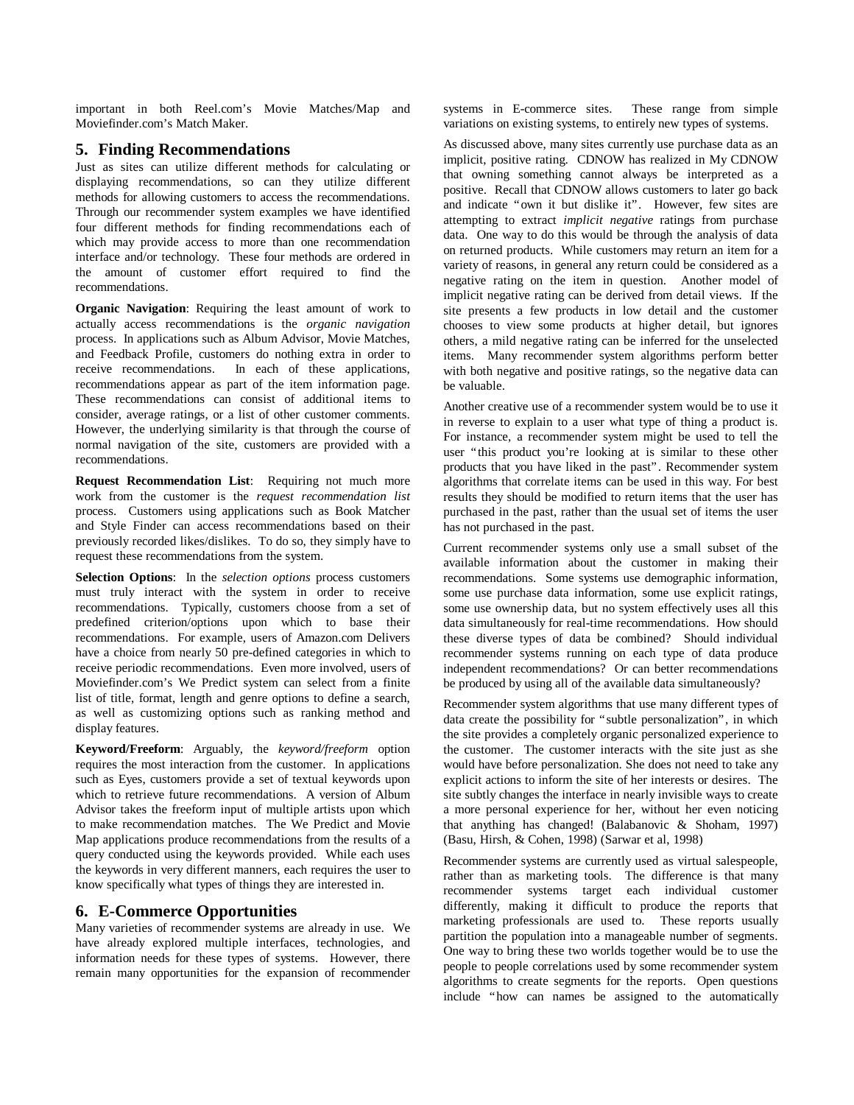important in both Reel.com's Movie Matches/Map and Moviefinder.com's Match Maker.

### **5. Finding Recommendations**

Just as sites can utilize different methods for calculating or displaying recommendations, so can they utilize different methods for allowing customers to access the recommendations. Through our recommender system examples we have identified four different methods for finding recommendations each of which may provide access to more than one recommendation interface and/or technology. These four methods are ordered in the amount of customer effort required to find the recommendations.

**Organic Navigation**: Requiring the least amount of work to actually access recommendations is the *organic navigation* process. In applications such as Album Advisor, Movie Matches, and Feedback Profile, customers do nothing extra in order to receive recommendations. In each of these applications, recommendations appear as part of the item information page. These recommendations can consist of additional items to consider, average ratings, or a list of other customer comments. However, the underlying similarity is that through the course of normal navigation of the site, customers are provided with a recommendations.

**Request Recommendation List**: Requiring not much more work from the customer is the *request recommendation list* process. Customers using applications such as Book Matcher and Style Finder can access recommendations based on their previously recorded likes/dislikes. To do so, they simply have to request these recommendations from the system.

**Selection Options**: In the *selection options* process customers must truly interact with the system in order to receive recommendations. Typically, customers choose from a set of predefined criterion/options upon which to base their recommendations. For example, users of Amazon.com Delivers have a choice from nearly 50 pre-defined categories in which to receive periodic recommendations. Even more involved, users of Moviefinder.com's We Predict system can select from a finite list of title, format, length and genre options to define a search, as well as customizing options such as ranking method and display features.

**Keyword/Freeform**: Arguably, the *keyword/freeform* option requires the most interaction from the customer. In applications such as Eyes, customers provide a set of textual keywords upon which to retrieve future recommendations. A version of Album Advisor takes the freeform input of multiple artists upon which to make recommendation matches. The We Predict and Movie Map applications produce recommendations from the results of a query conducted using the keywords provided. While each uses the keywords in very different manners, each requires the user to know specifically what types of things they are interested in.

# **6. E-Commerce Opportunities**

Many varieties of recommender systems are already in use. We have already explored multiple interfaces, technologies, and information needs for these types of systems. However, there remain many opportunities for the expansion of recommender systems in E-commerce sites. These range from simple variations on existing systems, to entirely new types of systems.

As discussed above, many sites currently use purchase data as an implicit, positive rating. CDNOW has realized in My CDNOW that owning something cannot always be interpreted as a positive. Recall that CDNOW allows customers to later go back and indicate "own it but dislike it". However, few sites are attempting to extract *implicit negative* ratings from purchase data. One way to do this would be through the analysis of data on returned products. While customers may return an item for a variety of reasons, in general any return could be considered as a negative rating on the item in question. Another model of implicit negative rating can be derived from detail views. If the site presents a few products in low detail and the customer chooses to view some products at higher detail, but ignores others, a mild negative rating can be inferred for the unselected items. Many recommender system algorithms perform better with both negative and positive ratings, so the negative data can be valuable.

Another creative use of a recommender system would be to use it in reverse to explain to a user what type of thing a product is. For instance, a recommender system might be used to tell the user "this product you're looking at is similar to these other products that you have liked in the past". Recommender system algorithms that correlate items can be used in this way. For best results they should be modified to return items that the user has purchased in the past, rather than the usual set of items the user has not purchased in the past.

Current recommender systems only use a small subset of the available information about the customer in making their recommendations. Some systems use demographic information, some use purchase data information, some use explicit ratings, some use ownership data, but no system effectively uses all this data simultaneously for real-time recommendations. How should these diverse types of data be combined? Should individual recommender systems running on each type of data produce independent recommendations? Or can better recommendations be produced by using all of the available data simultaneously?

Recommender system algorithms that use many different types of data create the possibility for "subtle personalization", in which the site provides a completely organic personalized experience to the customer. The customer interacts with the site just as she would have before personalization. She does not need to take any explicit actions to inform the site of her interests or desires. The site subtly changes the interface in nearly invisible ways to create a more personal experience for her, without her even noticing that anything has changed! (Balabanovic & Shoham, 1997) (Basu, Hirsh, & Cohen, 1998) (Sarwar et al, 1998)

Recommender systems are currently used as virtual salespeople, rather than as marketing tools. The difference is that many recommender systems target each individual customer differently, making it difficult to produce the reports that marketing professionals are used to. These reports usually partition the population into a manageable number of segments. One way to bring these two worlds together would be to use the people to people correlations used by some recommender system algorithms to create segments for the reports. Open questions include "how can names be assigned to the automatically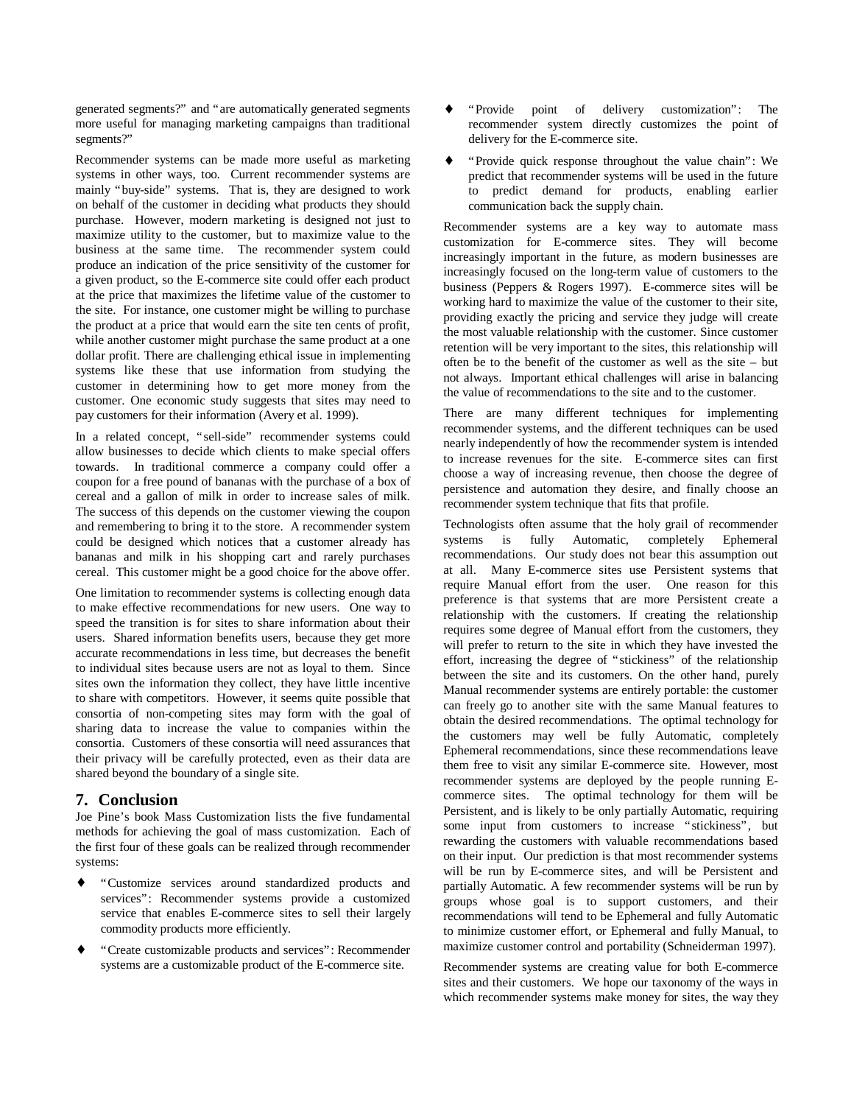generated segments?" and "are automatically generated segments more useful for managing marketing campaigns than traditional segments?"

Recommender systems can be made more useful as marketing systems in other ways, too. Current recommender systems are mainly "buy-side" systems. That is, they are designed to work on behalf of the customer in deciding what products they should purchase. However, modern marketing is designed not just to maximize utility to the customer, but to maximize value to the business at the same time. The recommender system could produce an indication of the price sensitivity of the customer for a given product, so the E-commerce site could offer each product at the price that maximizes the lifetime value of the customer to the site. For instance, one customer might be willing to purchase the product at a price that would earn the site ten cents of profit, while another customer might purchase the same product at a one dollar profit. There are challenging ethical issue in implementing systems like these that use information from studying the customer in determining how to get more money from the customer. One economic study suggests that sites may need to pay customers for their information (Avery et al. 1999).

In a related concept, "sell-side" recommender systems could allow businesses to decide which clients to make special offers towards. In traditional commerce a company could offer a coupon for a free pound of bananas with the purchase of a box of cereal and a gallon of milk in order to increase sales of milk. The success of this depends on the customer viewing the coupon and remembering to bring it to the store. A recommender system could be designed which notices that a customer already has bananas and milk in his shopping cart and rarely purchases cereal. This customer might be a good choice for the above offer.

One limitation to recommender systems is collecting enough data to make effective recommendations for new users. One way to speed the transition is for sites to share information about their users. Shared information benefits users, because they get more accurate recommendations in less time, but decreases the benefit to individual sites because users are not as loyal to them. Since sites own the information they collect, they have little incentive to share with competitors. However, it seems quite possible that consortia of non-competing sites may form with the goal of sharing data to increase the value to companies within the consortia. Customers of these consortia will need assurances that their privacy will be carefully protected, even as their data are shared beyond the boundary of a single site.

### **7. Conclusion**

Joe Pine's book Mass Customization lists the five fundamental methods for achieving the goal of mass customization. Each of the first four of these goals can be realized through recommender systems:

- ♦ "Customize services around standardized products and services": Recommender systems provide a customized service that enables E-commerce sites to sell their largely commodity products more efficiently.
- ♦ "Create customizable products and services": Recommender systems are a customizable product of the E-commerce site.
- ♦ "Provide point of delivery customization": The recommender system directly customizes the point of delivery for the E-commerce site.
- "Provide quick response throughout the value chain": We predict that recommender systems will be used in the future to predict demand for products, enabling earlier communication back the supply chain.

Recommender systems are a key way to automate mass customization for E-commerce sites. They will become increasingly important in the future, as modern businesses are increasingly focused on the long-term value of customers to the business (Peppers & Rogers 1997). E-commerce sites will be working hard to maximize the value of the customer to their site, providing exactly the pricing and service they judge will create the most valuable relationship with the customer. Since customer retention will be very important to the sites, this relationship will often be to the benefit of the customer as well as the site – but not always. Important ethical challenges will arise in balancing the value of recommendations to the site and to the customer.

There are many different techniques for implementing recommender systems, and the different techniques can be used nearly independently of how the recommender system is intended to increase revenues for the site. E-commerce sites can first choose a way of increasing revenue, then choose the degree of persistence and automation they desire, and finally choose an recommender system technique that fits that profile.

Technologists often assume that the holy grail of recommender systems is fully Automatic, completely Ephemeral recommendations. Our study does not bear this assumption out at all. Many E-commerce sites use Persistent systems that require Manual effort from the user. One reason for this preference is that systems that are more Persistent create a relationship with the customers. If creating the relationship requires some degree of Manual effort from the customers, they will prefer to return to the site in which they have invested the effort, increasing the degree of "stickiness" of the relationship between the site and its customers. On the other hand, purely Manual recommender systems are entirely portable: the customer can freely go to another site with the same Manual features to obtain the desired recommendations. The optimal technology for the customers may well be fully Automatic, completely Ephemeral recommendations, since these recommendations leave them free to visit any similar E-commerce site. However, most recommender systems are deployed by the people running Ecommerce sites. The optimal technology for them will be Persistent, and is likely to be only partially Automatic, requiring some input from customers to increase "stickiness", but rewarding the customers with valuable recommendations based on their input. Our prediction is that most recommender systems will be run by E-commerce sites, and will be Persistent and partially Automatic. A few recommender systems will be run by groups whose goal is to support customers, and their recommendations will tend to be Ephemeral and fully Automatic to minimize customer effort, or Ephemeral and fully Manual, to maximize customer control and portability (Schneiderman 1997).

Recommender systems are creating value for both E-commerce sites and their customers. We hope our taxonomy of the ways in which recommender systems make money for sites, the way they